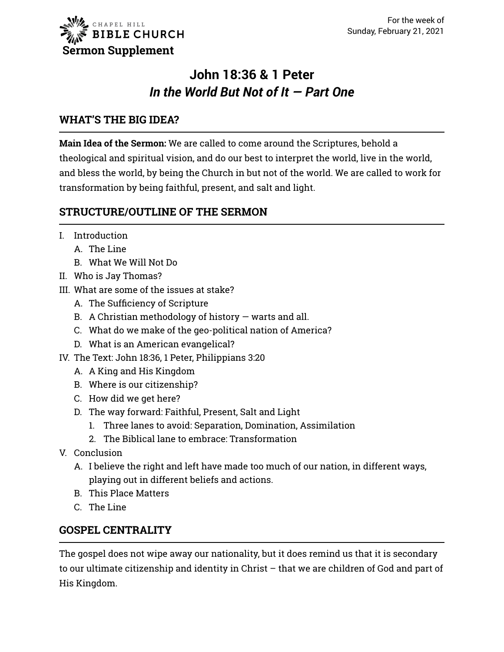

# **John 18:36 & 1 Peter** *In the World But Not of It — Part One*

#### **WHAT'S THE BIG IDEA?**

**Main Idea of the Sermon:** We are called to come around the Scriptures, behold a theological and spiritual vision, and do our best to interpret the world, live in the world, and bless the world, by being the Church in but not of the world. We are called to work for transformation by being faithful, present, and salt and light.

### **STRUCTURE/OUTLINE OF THE SERMON**

- I. Introduction
	- A. The Line
	- B. What We Will Not Do
- II. Who is Jay Thomas?
- III. What are some of the issues at stake?
	- A. The Sufficiency of Scripture
	- B. A Christian methodology of history  $-$  warts and all.
	- C. What do we make of the geo-political nation of America?
	- D. What is an American evangelical?
- IV. The Text: John 18:36, 1 Peter, Philippians 3:20
	- A. A King and His Kingdom
	- B. Where is our citizenship?
	- C. How did we get here?
	- D. The way forward: Faithful, Present, Salt and Light
		- 1. Three lanes to avoid: Separation, Domination, Assimilation
		- 2. The Biblical lane to embrace: Transformation
- V. Conclusion
	- A. I believe the right and left have made too much of our nation, in different ways, playing out in different beliefs and actions.
	- B. This Place Matters
	- C. The Line

#### **GOSPEL CENTRALITY**

The gospel does not wipe away our nationality, but it does remind us that it is secondary to our ultimate citizenship and identity in Christ – that we are children of God and part of His Kingdom.